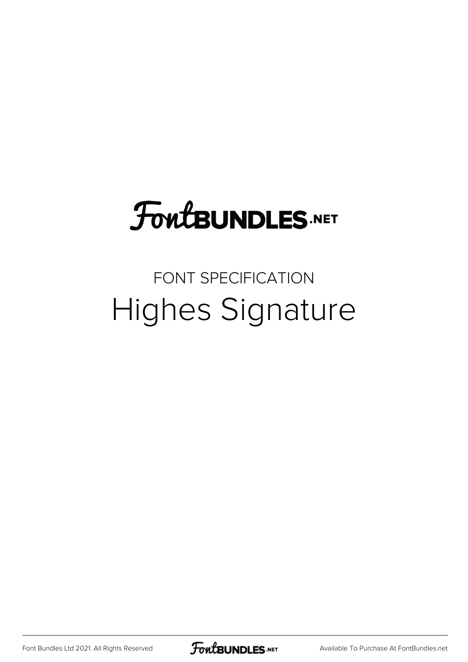## **FoutBUNDLES.NET**

## FONT SPECIFICATION Highes Signature

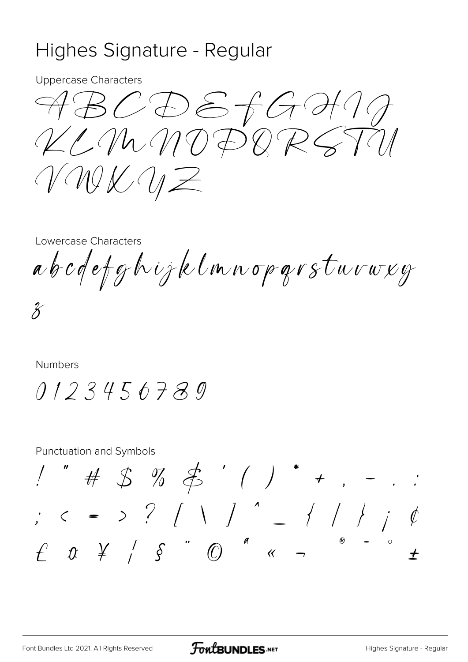## Highes Signature - Regular

**Uppercase Characters** 

 $\mathcal{A} \mathcal{B} \mathcal{C} \mathcal{D} \mathcal{E} \mathcal{A} \mathcal{G} \mathcal{H} \mathcal{U} \mathcal{J}$ KLMMDDQRSTIN VWKWZ

Lowercase Characters

abcdefghijklmnoparsturweg

 $\chi$ 

**Numbers** 

 $0123456789$ 

**Punctuation and Symbols** 

! " # \$ % \$ ' ( ) \* + , - . : ;  $c = 5$  ?  $( \ )$   $( \ )$   $( \ )$   $( \ )$   $( \ )$   $( \ )$   $( \ )$  $f$   $x$   $\neq$   $s$   $^{\circ}$   $\circ$   $^{\circ}$   $\circ$   $^{\circ}$   $\circ$   $^{\circ}$   $\circ$   $^{\circ}$   $\circ$   $^{\circ}$   $^{\circ}$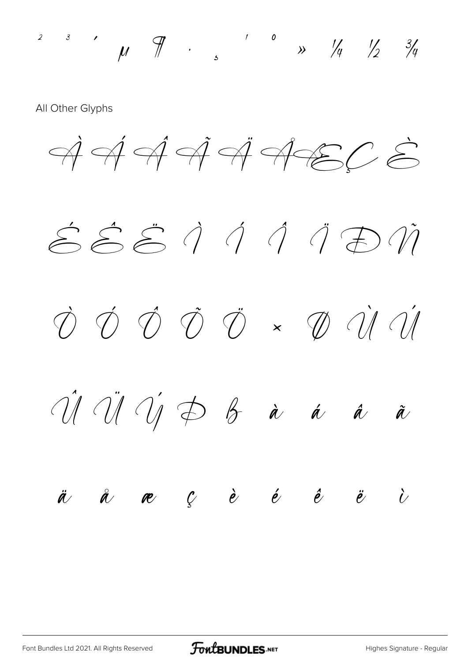2 3 1  $\pi$  1 0  $\pi$  1/4  $\frac{1}{2}$  3/4

All Other Glyphs

 $\overrightarrow{A}$   $\overrightarrow{A}$   $\overrightarrow{A}$   $\overrightarrow{A}$   $\overrightarrow{A}$   $\overrightarrow{C}$   $\overrightarrow{S}$ 

 $\hat{\epsilon}\hat{\epsilon}\hat{\epsilon}\hat{\epsilon}\hat{\eta}$  and  $\hat{\eta}\hat{\tau}$ 

 $\vec{v}$   $\vec{v}$   $\vec{v}$   $\vec{v}$   $\sim$   $\vec{v}$   $\vec{v}$   $\vec{v}$ 

 $\hat{U} \hat{U} \hat{U} \hat{U} \hat{D}$   $\hat{B}$   $\hat{a}$   $\hat{a}$   $\hat{a}$ 

## $\ddot{a}$   $\ddot{a}$   $\bf e$   $\dot{c}$   $\dot{e}$   $\dot{e}$   $\ddot{e}$   $\ddot{c}$   $\dot{c}$

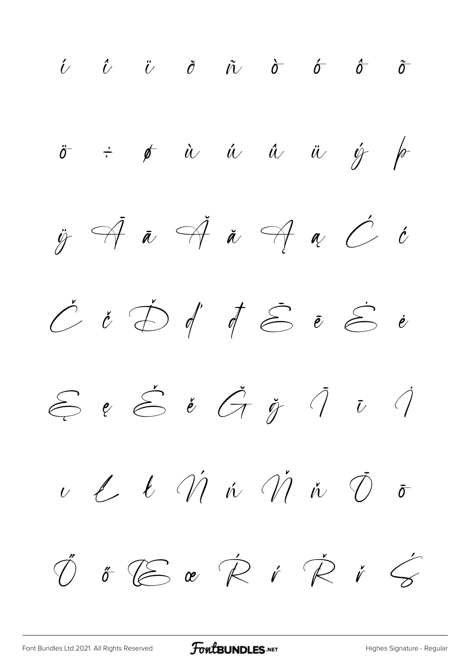$\begin{array}{ccccccccccccc}\n\hat{U} & \hat{U} & \hat{U} & \hat{O} & \hat{U} & \hat{O} & \hat{O} & \hat{O} & \hat{O} & \hat{O} & \hat{O} & \hat{O} & \hat{O} & \hat{O} & \hat{O} & \hat{O} & \hat{O} & \hat{O} & \hat{O} & \hat{O} & \hat{O} & \hat{O} & \hat{O} & \hat{O} & \hat{O} & \hat{O} & \hat{O} & \hat{O} & \hat{O} & \hat{O} & \hat{O} & \hat{O} & \hat{O} & \hat{O} & \hat{O}$  $\ddot{\sigma}$  $\div$   $\phi$  à á á å ä  $\acute{y}$  for  $\ddot{y}$   $\overrightarrow{A}$   $\overrightarrow{a}$   $\overrightarrow{a}$   $\overrightarrow{a}$   $\overrightarrow{c}$   $\overrightarrow{c}$  $\acute{C}$  i  $\acute{D}$  if  $\acute{E}$  i  $\acute{E}$  i  $\mathcal{E}$  e  $\mathcal{E}$  é  $\mathcal{G}$  j  $\mathcal{I}$  i  $\mathcal{I}$  $u$  l l  $\acute{\mathcal{U}}$  in  $\acute{\mathcal{U}}$  in  $\acute{\mathcal{O}}$  $\bar{\sigma}$ 

FoutBUNDLES.NET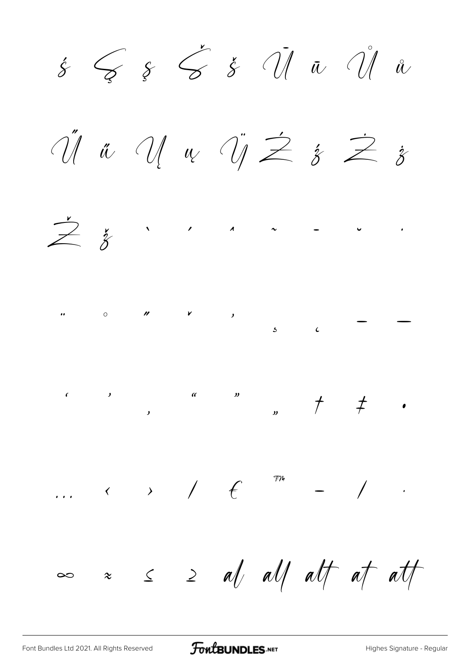$\acute{s}$   $\zeta$   $\acute{s}$   $\acute{d}$   $\acute{d}$   $\ddot{u}$   $\acute{d}$   $\mathring{u}$  $\Huge \begin{array}{c} \Huge \text{if} \begin{array}{c} \text{if} \begin{array}{c} \text{if} \begin{array}{c} \text{if} \end{array} \end{array} \end{array} \begin{array}{c} \text{if} \begin{array}{c} \text{if} \begin{array}{c} \text{if} \begin{array}{c} \text{if} \end{array} \end{array} \end{array} \begin{array}{c} \text{if} \begin{array}{c} \text{if} \begin{array}{c} \text{if} \begin{array}{c} \text{if} \begin{array}{c} \text{if} \end{array} \end{array} \end{array} \begin{array}{c} \text{if} \$  $\sum_{i=1}^{n}$   $\sum_{i=1}^{n}$   $\sum_{i=1}^{n}$   $\sum_{i=1}^{n}$   $\sum_{i=1}^{n}$   $\sum_{i=1}^{n}$   $\sum_{i=1}^{n}$   $\sum_{i=1}^{n}$   $\sum_{i=1}^{n}$  $\cdots$   $\longleftrightarrow$  /  $\in$   $\mathbb{R}$   $\rightarrow$  /  $\cdot$  $\begin{array}{ccc} \sim & \le & \ge & \mathit{a}\mathit{f} \quad \mathit{a}\mathit{f} \quad \mathit{a}\mathit{f} \quad \mathit{a}\mathit{f} \quad \mathit{a}\mathit{f} \quad \mathit{a}\mathit{f} \quad \mathit{a}\mathit{f} \quad \mathit{f} \end{array}$  $\infty$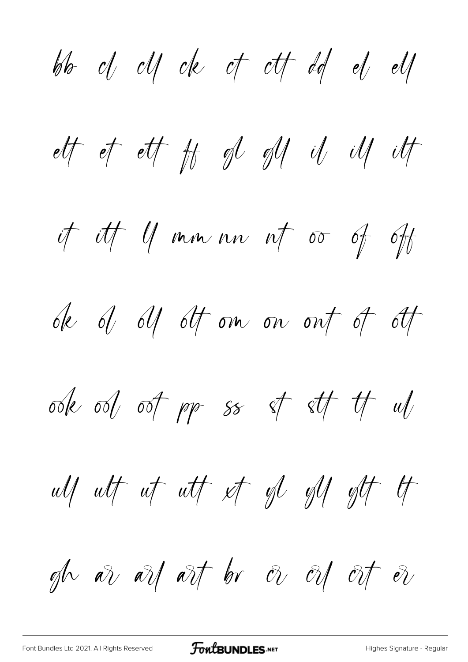bb  $d$   $d$   $d$   $e$   $d$   $f$   $d$   $d$   $e$   $d$ ett et ett ft gl gl il ill ilt it itt 11 mm nn nt oo of oft de d d1 dt om on ont of ott ook ool oot pp ss of stt tt ul ulf ut ut utf et gl glf glt lt gh are are art by  $\partial v$  or  $\partial t$  or  $\partial v$